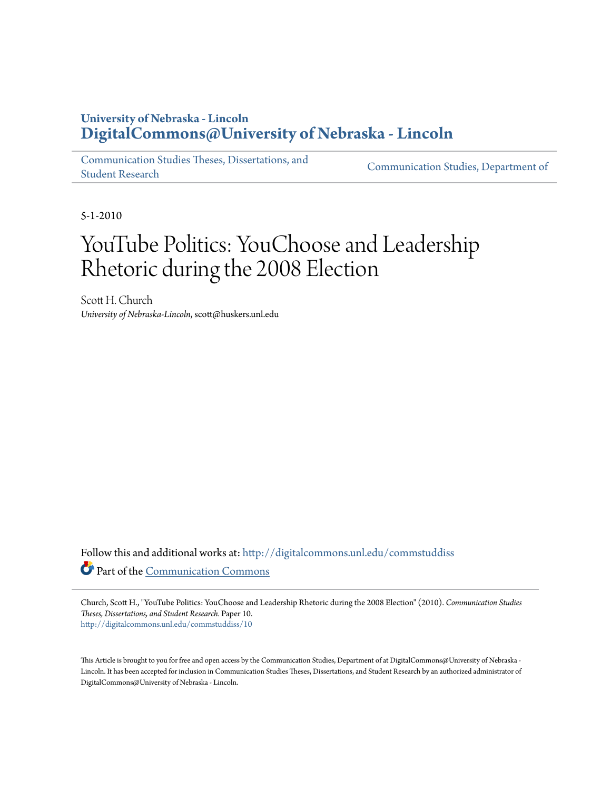# **University of Nebraska - Lincoln [DigitalCommons@University of Nebraska - Lincoln](http://digitalcommons.unl.edu?utm_source=digitalcommons.unl.edu%2Fcommstuddiss%2F10&utm_medium=PDF&utm_campaign=PDFCoverPages)**

[Communication Studies Theses, Dissertations, and](http://digitalcommons.unl.edu/commstuddiss?utm_source=digitalcommons.unl.edu%2Fcommstuddiss%2F10&utm_medium=PDF&utm_campaign=PDFCoverPages) [Student Research](http://digitalcommons.unl.edu/commstuddiss?utm_source=digitalcommons.unl.edu%2Fcommstuddiss%2F10&utm_medium=PDF&utm_campaign=PDFCoverPages) [Communication Studies, Department of](http://digitalcommons.unl.edu/communicationstudies?utm_source=digitalcommons.unl.edu%2Fcommstuddiss%2F10&utm_medium=PDF&utm_campaign=PDFCoverPages) Communication Studies, Department of

5-1-2010

# YouTube Politics: YouChoose and Leadership Rhetoric during the 2008 Election

Scott H. Church *University of Nebraska-Lincoln*, scott@huskers.unl.edu

Follow this and additional works at: [http://digitalcommons.unl.edu/commstuddiss](http://digitalcommons.unl.edu/commstuddiss?utm_source=digitalcommons.unl.edu%2Fcommstuddiss%2F10&utm_medium=PDF&utm_campaign=PDFCoverPages) Part of the [Communication Commons](http://network.bepress.com/hgg/discipline/325?utm_source=digitalcommons.unl.edu%2Fcommstuddiss%2F10&utm_medium=PDF&utm_campaign=PDFCoverPages)

Church, Scott H., "YouTube Politics: YouChoose and Leadership Rhetoric during the 2008 Election" (2010). *Communication Studies Theses, Dissertations, and Student Research.* Paper 10. [http://digitalcommons.unl.edu/commstuddiss/10](http://digitalcommons.unl.edu/commstuddiss/10?utm_source=digitalcommons.unl.edu%2Fcommstuddiss%2F10&utm_medium=PDF&utm_campaign=PDFCoverPages)

This Article is brought to you for free and open access by the Communication Studies, Department of at DigitalCommons@University of Nebraska - Lincoln. It has been accepted for inclusion in Communication Studies Theses, Dissertations, and Student Research by an authorized administrator of DigitalCommons@University of Nebraska - Lincoln.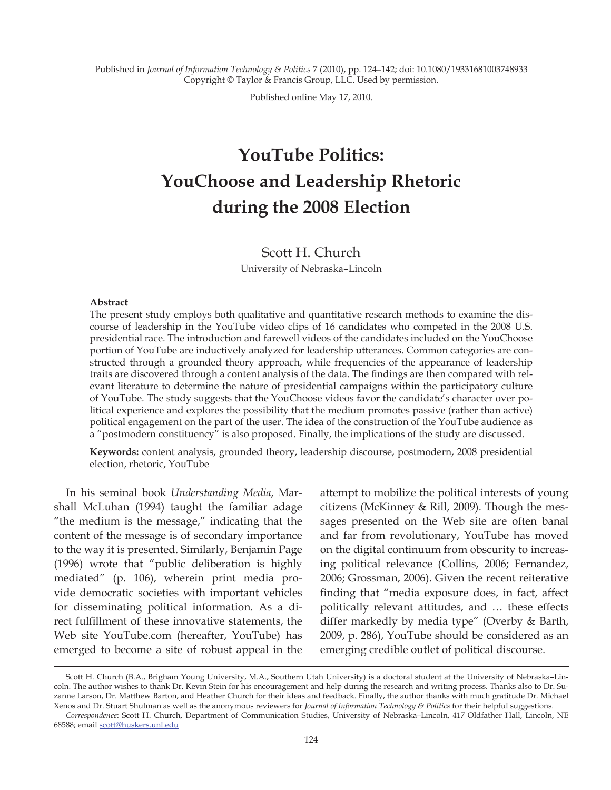Published in *Journal of Information Technology & Politics* 7 (2010), pp. 124–142; doi: 10.1080/19331681003748933 Copyright © Taylor & Francis Group, LLC. Used by permission.

Published online May 17, 2010.

# **YouTube Politics: YouChoose and Leadership Rhetoric during the 2008 Election**

# Scott H. Church

University of Nebraska–Lincoln

#### **Abstract**

The present study employs both qualitative and quantitative research methods to examine the discourse of leadership in the YouTube video clips of 16 candidates who competed in the 2008 U.S. presidential race. The introduction and farewell videos of the candidates included on the YouChoose portion of YouTube are inductively analyzed for leadership utterances. Common categories are constructed through a grounded theory approach, while frequencies of the appearance of leadership traits are discovered through a content analysis of the data. The findings are then compared with relevant literature to determine the nature of presidential campaigns within the participatory culture of YouTube. The study suggests that the YouChoose videos favor the candidate's character over political experience and explores the possibility that the medium promotes passive (rather than active) political engagement on the part of the user. The idea of the construction of the YouTube audience as a "postmodern constituency" is also proposed. Finally, the implications of the study are discussed.

**Keywords:** content analysis, grounded theory, leadership discourse, postmodern, 2008 presidential election, rhetoric, YouTube

In his seminal book *Understanding Media*, Marshall McLuhan (1994) taught the familiar adage "the medium is the message," indicating that the content of the message is of secondary importance to the way it is presented. Similarly, Benjamin Page (1996) wrote that "public deliberation is highly mediated" (p. 106), wherein print media provide democratic societies with important vehicles for disseminating political information. As a direct fulfillment of these innovative statements, the Web site YouTube.com (hereafter, YouTube) has emerged to become a site of robust appeal in the attempt to mobilize the political interests of young citizens (McKinney & Rill, 2009). Though the messages presented on the Web site are often banal and far from revolutionary, YouTube has moved on the digital continuum from obscurity to increasing political relevance (Collins, 2006; Fernandez, 2006; Grossman, 2006). Given the recent reiterative finding that "media exposure does, in fact, affect politically relevant attitudes, and … these effects differ markedly by media type" (Overby & Barth, 2009, p. 286), YouTube should be considered as an emerging credible outlet of political discourse.

Scott H. Church (B.A., Brigham Young University, M.A., Southern Utah University) is a doctoral student at the University of Nebraska–Lincoln. The author wishes to thank Dr. Kevin Stein for his encouragement and help during the research and writing process. Thanks also to Dr. Suzanne Larson, Dr. Matthew Barton, and Heather Church for their ideas and feedback. Finally, the author thanks with much gratitude Dr. Michael Xenos and Dr. Stuart Shulman as well as the anonymous reviewers for *Journal of Information Technology & Politics* for their helpful suggestions.

*Correspondence*: Scott H. Church, Department of Communication Studies, University of Nebraska–Lincoln, 417 Oldfather Hall, Lincoln, NE 68588; email scott@huskers.unl.edu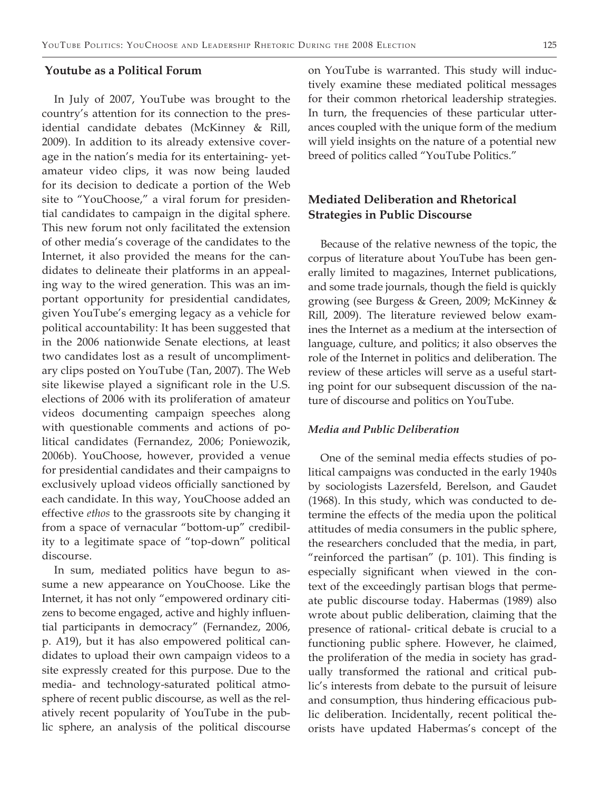# **Youtube as a Political Forum**

In July of 2007, YouTube was brought to the country's attention for its connection to the presidential candidate debates (McKinney & Rill, 2009). In addition to its already extensive coverage in the nation's media for its entertaining- yetamateur video clips, it was now being lauded for its decision to dedicate a portion of the Web site to "YouChoose," a viral forum for presidential candidates to campaign in the digital sphere. This new forum not only facilitated the extension of other media's coverage of the candidates to the Internet, it also provided the means for the candidates to delineate their platforms in an appealing way to the wired generation. This was an important opportunity for presidential candidates, given YouTube's emerging legacy as a vehicle for political accountability: It has been suggested that in the 2006 nationwide Senate elections, at least two candidates lost as a result of uncomplimentary clips posted on YouTube (Tan, 2007). The Web site likewise played a significant role in the U.S. elections of 2006 with its proliferation of amateur videos documenting campaign speeches along with questionable comments and actions of political candidates (Fernandez, 2006; Poniewozik, 2006b). YouChoose, however, provided a venue for presidential candidates and their campaigns to exclusively upload videos officially sanctioned by each candidate. In this way, YouChoose added an effective *ethos* to the grassroots site by changing it from a space of vernacular "bottom-up" credibility to a legitimate space of "top-down" political discourse.

In sum, mediated politics have begun to assume a new appearance on YouChoose. Like the Internet, it has not only "empowered ordinary citizens to become engaged, active and highly influential participants in democracy" (Fernandez, 2006, p. A19), but it has also empowered political candidates to upload their own campaign videos to a site expressly created for this purpose. Due to the media- and technology-saturated political atmosphere of recent public discourse, as well as the relatively recent popularity of YouTube in the public sphere, an analysis of the political discourse on YouTube is warranted. This study will inductively examine these mediated political messages for their common rhetorical leadership strategies. In turn, the frequencies of these particular utterances coupled with the unique form of the medium will yield insights on the nature of a potential new breed of politics called "YouTube Politics."

# **Mediated Deliberation and Rhetorical Strategies in Public Discourse**

Because of the relative newness of the topic, the corpus of literature about YouTube has been generally limited to magazines, Internet publications, and some trade journals, though the field is quickly growing (see Burgess & Green, 2009; McKinney & Rill, 2009). The literature reviewed below examines the Internet as a medium at the intersection of language, culture, and politics; it also observes the role of the Internet in politics and deliberation. The review of these articles will serve as a useful starting point for our subsequent discussion of the nature of discourse and politics on YouTube.

# *Media and Public Deliberation*

One of the seminal media effects studies of political campaigns was conducted in the early 1940s by sociologists Lazersfeld, Berelson, and Gaudet (1968). In this study, which was conducted to determine the effects of the media upon the political attitudes of media consumers in the public sphere, the researchers concluded that the media, in part, "reinforced the partisan" (p. 101). This finding is especially significant when viewed in the context of the exceedingly partisan blogs that permeate public discourse today. Habermas (1989) also wrote about public deliberation, claiming that the presence of rational- critical debate is crucial to a functioning public sphere. However, he claimed, the proliferation of the media in society has gradually transformed the rational and critical public's interests from debate to the pursuit of leisure and consumption, thus hindering efficacious public deliberation. Incidentally, recent political theorists have updated Habermas's concept of the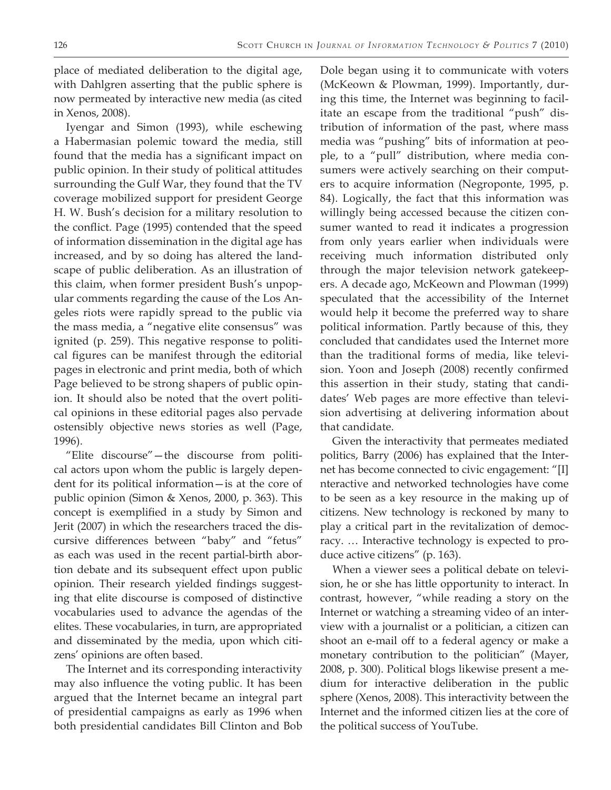place of mediated deliberation to the digital age, with Dahlgren asserting that the public sphere is now permeated by interactive new media (as cited in Xenos, 2008).

Iyengar and Simon (1993), while eschewing a Habermasian polemic toward the media, still found that the media has a significant impact on public opinion. In their study of political attitudes surrounding the Gulf War, they found that the TV coverage mobilized support for president George H. W. Bush's decision for a military resolution to the conflict. Page (1995) contended that the speed of information dissemination in the digital age has increased, and by so doing has altered the landscape of public deliberation. As an illustration of this claim, when former president Bush's unpopular comments regarding the cause of the Los Angeles riots were rapidly spread to the public via the mass media, a "negative elite consensus" was ignited (p. 259). This negative response to political figures can be manifest through the editorial pages in electronic and print media, both of which Page believed to be strong shapers of public opinion. It should also be noted that the overt political opinions in these editorial pages also pervade ostensibly objective news stories as well (Page, 1996).

"Elite discourse"—the discourse from political actors upon whom the public is largely dependent for its political information—is at the core of public opinion (Simon & Xenos, 2000, p. 363). This concept is exemplified in a study by Simon and Jerit (2007) in which the researchers traced the discursive differences between "baby" and "fetus" as each was used in the recent partial-birth abortion debate and its subsequent effect upon public opinion. Their research yielded findings suggesting that elite discourse is composed of distinctive vocabularies used to advance the agendas of the elites. These vocabularies, in turn, are appropriated and disseminated by the media, upon which citizens' opinions are often based.

The Internet and its corresponding interactivity may also influence the voting public. It has been argued that the Internet became an integral part of presidential campaigns as early as 1996 when both presidential candidates Bill Clinton and Bob

Dole began using it to communicate with voters (McKeown & Plowman, 1999). Importantly, during this time, the Internet was beginning to facilitate an escape from the traditional "push" distribution of information of the past, where mass media was "pushing" bits of information at people, to a "pull" distribution, where media consumers were actively searching on their computers to acquire information (Negroponte, 1995, p. 84). Logically, the fact that this information was willingly being accessed because the citizen consumer wanted to read it indicates a progression from only years earlier when individuals were receiving much information distributed only through the major television network gatekeepers. A decade ago, McKeown and Plowman (1999) speculated that the accessibility of the Internet would help it become the preferred way to share political information. Partly because of this, they concluded that candidates used the Internet more than the traditional forms of media, like television. Yoon and Joseph (2008) recently confirmed this assertion in their study, stating that candidates' Web pages are more effective than television advertising at delivering information about that candidate.

Given the interactivity that permeates mediated politics, Barry (2006) has explained that the Internet has become connected to civic engagement: "[I] nteractive and networked technologies have come to be seen as a key resource in the making up of citizens. New technology is reckoned by many to play a critical part in the revitalization of democracy. … Interactive technology is expected to produce active citizens" (p. 163).

When a viewer sees a political debate on television, he or she has little opportunity to interact. In contrast, however, "while reading a story on the Internet or watching a streaming video of an interview with a journalist or a politician, a citizen can shoot an e-mail off to a federal agency or make a monetary contribution to the politician" (Mayer, 2008, p. 300). Political blogs likewise present a medium for interactive deliberation in the public sphere (Xenos, 2008). This interactivity between the Internet and the informed citizen lies at the core of the political success of YouTube.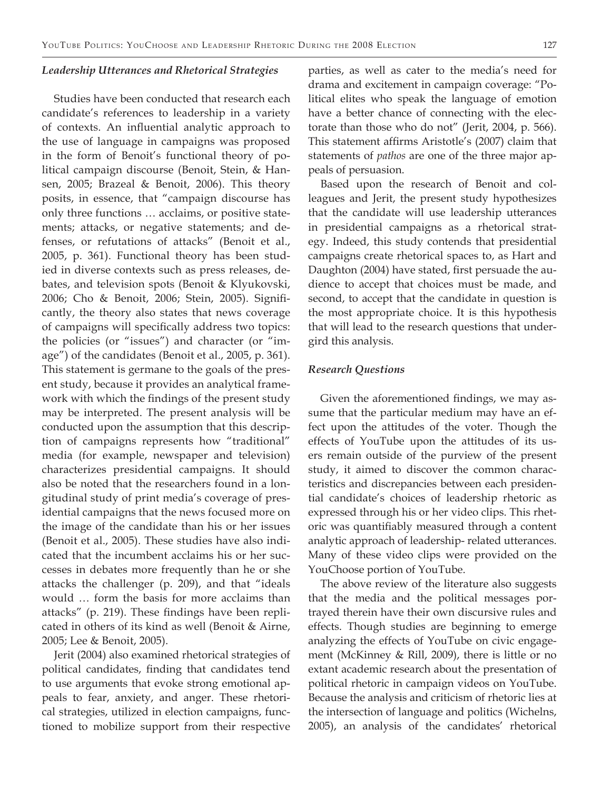# *Leadership Utterances and Rhetorical Strategies*

Studies have been conducted that research each candidate's references to leadership in a variety of contexts. An influential analytic approach to the use of language in campaigns was proposed in the form of Benoit's functional theory of political campaign discourse (Benoit, Stein, & Hansen, 2005; Brazeal & Benoit, 2006). This theory posits, in essence, that "campaign discourse has only three functions … acclaims, or positive statements; attacks, or negative statements; and defenses, or refutations of attacks" (Benoit et al., 2005, p. 361). Functional theory has been studied in diverse contexts such as press releases, debates, and television spots (Benoit & Klyukovski, 2006; Cho & Benoit, 2006; Stein, 2005). Significantly, the theory also states that news coverage of campaigns will specifically address two topics: the policies (or "issues") and character (or "image") of the candidates (Benoit et al., 2005, p. 361). This statement is germane to the goals of the present study, because it provides an analytical framework with which the findings of the present study may be interpreted. The present analysis will be conducted upon the assumption that this description of campaigns represents how "traditional" media (for example, newspaper and television) characterizes presidential campaigns. It should also be noted that the researchers found in a longitudinal study of print media's coverage of presidential campaigns that the news focused more on the image of the candidate than his or her issues (Benoit et al., 2005). These studies have also indicated that the incumbent acclaims his or her successes in debates more frequently than he or she attacks the challenger (p. 209), and that "ideals would … form the basis for more acclaims than attacks" (p. 219). These findings have been replicated in others of its kind as well (Benoit & Airne, 2005; Lee & Benoit, 2005).

Jerit (2004) also examined rhetorical strategies of political candidates, finding that candidates tend to use arguments that evoke strong emotional appeals to fear, anxiety, and anger. These rhetorical strategies, utilized in election campaigns, functioned to mobilize support from their respective

parties, as well as cater to the media's need for drama and excitement in campaign coverage: "Political elites who speak the language of emotion have a better chance of connecting with the electorate than those who do not" (Jerit, 2004, p. 566). This statement affirms Aristotle's (2007) claim that statements of *pathos* are one of the three major appeals of persuasion.

Based upon the research of Benoit and colleagues and Jerit, the present study hypothesizes that the candidate will use leadership utterances in presidential campaigns as a rhetorical strategy. Indeed, this study contends that presidential campaigns create rhetorical spaces to, as Hart and Daughton (2004) have stated, first persuade the audience to accept that choices must be made, and second, to accept that the candidate in question is the most appropriate choice. It is this hypothesis that will lead to the research questions that undergird this analysis.

#### *Research Questions*

Given the aforementioned findings, we may assume that the particular medium may have an effect upon the attitudes of the voter. Though the effects of YouTube upon the attitudes of its users remain outside of the purview of the present study, it aimed to discover the common characteristics and discrepancies between each presidential candidate's choices of leadership rhetoric as expressed through his or her video clips. This rhetoric was quantifiably measured through a content analytic approach of leadership- related utterances. Many of these video clips were provided on the YouChoose portion of YouTube.

The above review of the literature also suggests that the media and the political messages portrayed therein have their own discursive rules and effects. Though studies are beginning to emerge analyzing the effects of YouTube on civic engagement (McKinney & Rill, 2009), there is little or no extant academic research about the presentation of political rhetoric in campaign videos on YouTube. Because the analysis and criticism of rhetoric lies at the intersection of language and politics (Wichelns, 2005), an analysis of the candidates' rhetorical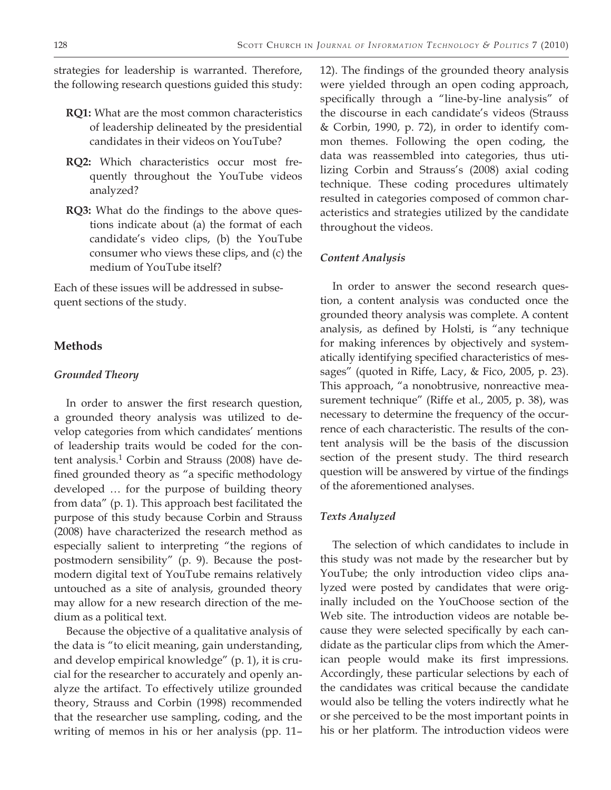strategies for leadership is warranted. Therefore, the following research questions guided this study:

- **RQ1:** What are the most common characteristics of leadership delineated by the presidential candidates in their videos on YouTube?
- **RQ2:** Which characteristics occur most frequently throughout the YouTube videos analyzed?
- **RQ3:** What do the findings to the above questions indicate about (a) the format of each candidate's video clips, (b) the YouTube consumer who views these clips, and (c) the medium of YouTube itself?

Each of these issues will be addressed in subsequent sections of the study.

# **Methods**

#### *Grounded Theory*

In order to answer the first research question, a grounded theory analysis was utilized to develop categories from which candidates' mentions of leadership traits would be coded for the content analysis.<sup>1</sup> Corbin and Strauss (2008) have defined grounded theory as "a specific methodology developed … for the purpose of building theory from data" (p. 1). This approach best facilitated the purpose of this study because Corbin and Strauss (2008) have characterized the research method as especially salient to interpreting "the regions of postmodern sensibility" (p. 9). Because the postmodern digital text of YouTube remains relatively untouched as a site of analysis, grounded theory may allow for a new research direction of the medium as a political text.

Because the objective of a qualitative analysis of the data is "to elicit meaning, gain understanding, and develop empirical knowledge" (p. 1), it is crucial for the researcher to accurately and openly analyze the artifact. To effectively utilize grounded theory, Strauss and Corbin (1998) recommended that the researcher use sampling, coding, and the writing of memos in his or her analysis (pp. 11–

12). The findings of the grounded theory analysis were yielded through an open coding approach, specifically through a "line-by-line analysis" of the discourse in each candidate's videos (Strauss & Corbin, 1990, p. 72), in order to identify common themes. Following the open coding, the data was reassembled into categories, thus utilizing Corbin and Strauss's (2008) axial coding technique. These coding procedures ultimately resulted in categories composed of common characteristics and strategies utilized by the candidate throughout the videos.

# *Content Analysis*

In order to answer the second research question, a content analysis was conducted once the grounded theory analysis was complete. A content analysis, as defined by Holsti, is "any technique for making inferences by objectively and systematically identifying specified characteristics of messages" (quoted in Riffe, Lacy, & Fico, 2005, p. 23). This approach, "a nonobtrusive, nonreactive measurement technique" (Riffe et al., 2005, p. 38), was necessary to determine the frequency of the occurrence of each characteristic. The results of the content analysis will be the basis of the discussion section of the present study. The third research question will be answered by virtue of the findings of the aforementioned analyses.

#### *Texts Analyzed*

The selection of which candidates to include in this study was not made by the researcher but by YouTube; the only introduction video clips analyzed were posted by candidates that were originally included on the YouChoose section of the Web site. The introduction videos are notable because they were selected specifically by each candidate as the particular clips from which the American people would make its first impressions. Accordingly, these particular selections by each of the candidates was critical because the candidate would also be telling the voters indirectly what he or she perceived to be the most important points in his or her platform. The introduction videos were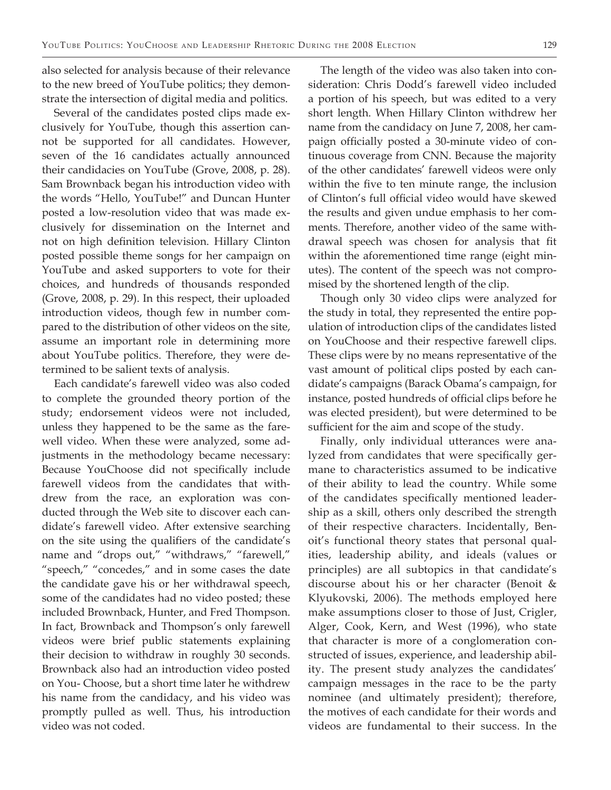also selected for analysis because of their relevance to the new breed of YouTube politics; they demonstrate the intersection of digital media and politics.

Several of the candidates posted clips made exclusively for YouTube, though this assertion cannot be supported for all candidates. However, seven of the 16 candidates actually announced their candidacies on YouTube (Grove, 2008, p. 28). Sam Brownback began his introduction video with the words "Hello, YouTube!" and Duncan Hunter posted a low-resolution video that was made exclusively for dissemination on the Internet and not on high definition television. Hillary Clinton posted possible theme songs for her campaign on YouTube and asked supporters to vote for their choices, and hundreds of thousands responded (Grove, 2008, p. 29). In this respect, their uploaded introduction videos, though few in number compared to the distribution of other videos on the site, assume an important role in determining more about YouTube politics. Therefore, they were determined to be salient texts of analysis.

Each candidate's farewell video was also coded to complete the grounded theory portion of the study; endorsement videos were not included, unless they happened to be the same as the farewell video. When these were analyzed, some adjustments in the methodology became necessary: Because YouChoose did not specifically include farewell videos from the candidates that withdrew from the race, an exploration was conducted through the Web site to discover each candidate's farewell video. After extensive searching on the site using the qualifiers of the candidate's name and "drops out," "withdraws," "farewell," "speech," "concedes," and in some cases the date the candidate gave his or her withdrawal speech, some of the candidates had no video posted; these included Brownback, Hunter, and Fred Thompson. In fact, Brownback and Thompson's only farewell videos were brief public statements explaining their decision to withdraw in roughly 30 seconds. Brownback also had an introduction video posted on You- Choose, but a short time later he withdrew his name from the candidacy, and his video was promptly pulled as well. Thus, his introduction video was not coded.

The length of the video was also taken into consideration: Chris Dodd's farewell video included a portion of his speech, but was edited to a very short length. When Hillary Clinton withdrew her name from the candidacy on June 7, 2008, her campaign officially posted a 30-minute video of continuous coverage from CNN. Because the majority of the other candidates' farewell videos were only within the five to ten minute range, the inclusion of Clinton's full official video would have skewed the results and given undue emphasis to her comments. Therefore, another video of the same withdrawal speech was chosen for analysis that fit within the aforementioned time range (eight minutes). The content of the speech was not compromised by the shortened length of the clip.

Though only 30 video clips were analyzed for the study in total, they represented the entire population of introduction clips of the candidates listed on YouChoose and their respective farewell clips. These clips were by no means representative of the vast amount of political clips posted by each candidate's campaigns (Barack Obama's campaign, for instance, posted hundreds of official clips before he was elected president), but were determined to be sufficient for the aim and scope of the study.

Finally, only individual utterances were analyzed from candidates that were specifically germane to characteristics assumed to be indicative of their ability to lead the country. While some of the candidates specifically mentioned leadership as a skill, others only described the strength of their respective characters. Incidentally, Benoit's functional theory states that personal qualities, leadership ability, and ideals (values or principles) are all subtopics in that candidate's discourse about his or her character (Benoit & Klyukovski, 2006). The methods employed here make assumptions closer to those of Just, Crigler, Alger, Cook, Kern, and West (1996), who state that character is more of a conglomeration constructed of issues, experience, and leadership ability. The present study analyzes the candidates' campaign messages in the race to be the party nominee (and ultimately president); therefore, the motives of each candidate for their words and videos are fundamental to their success. In the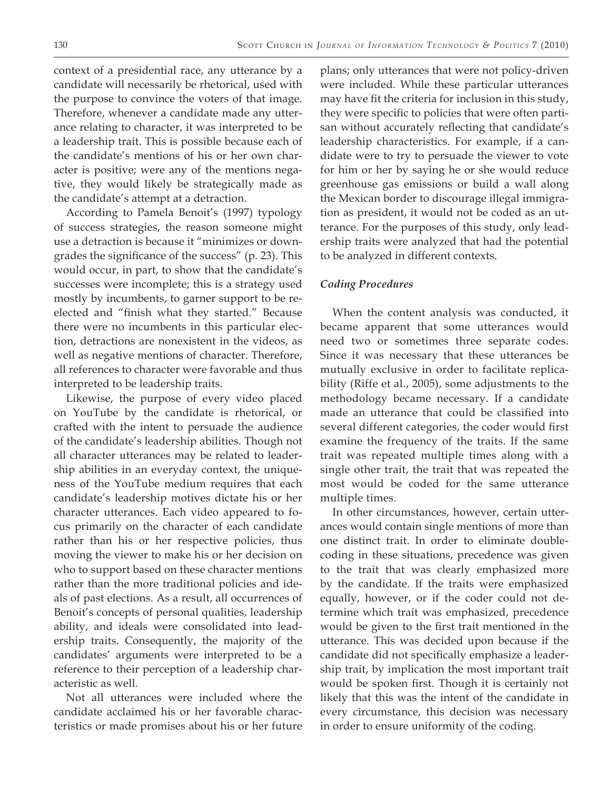context of a presidential race, any utterance by a candidate will necessarily be rhetorical, used with the purpose to convince the voters of that image. Therefore, whenever a candidate made any utterance relating to character, it was interpreted to be a leadership trait. This is possible because each of the candidate's mentions of his or her own character is positive; were any of the mentions negative, they would likely be strategically made as the candidate's attempt at a detraction.

According to Pamela Benoit's (1997) typology of success strategies, the reason someone might use a detraction is because it "minimizes or downgrades the significance of the success" (p. 23). This would occur, in part, to show that the candidate's successes were incomplete; this is a strategy used mostly by incumbents, to garner support to be reelected and "finish what they started." Because there were no incumbents in this particular election, detractions are nonexistent in the videos, as well as negative mentions of character. Therefore, all references to character were favorable and thus interpreted to be leadership traits.

Likewise, the purpose of every video placed on YouTube by the candidate is rhetorical, or crafted with the intent to persuade the audience of the candidate's leadership abilities. Though not all character utterances may be related to leadership abilities in an everyday context, the uniqueness of the YouTube medium requires that each candidate's leadership motives dictate his or her character utterances. Each video appeared to focus primarily on the character of each candidate rather than his or her respective policies, thus moving the viewer to make his or her decision on who to support based on these character mentions rather than the more traditional policies and ideals of past elections. As a result, all occurrences of Benoit's concepts of personal qualities, leadership ability, and ideals were consolidated into leadership traits. Consequently, the majority of the candidates' arguments were interpreted to be a reference to their perception of a leadership characteristic as well.

Not all utterances were included where the candidate acclaimed his or her favorable characteristics or made promises about his or her future

plans; only utterances that were not policy-driven were included. While these particular utterances may have fit the criteria for inclusion in this study, they were specific to policies that were often partisan without accurately reflecting that candidate's leadership characteristics. For example, if a candidate were to try to persuade the viewer to vote for him or her by saying he or she would reduce greenhouse gas emissions or build a wall along the Mexican border to discourage illegal immigration as president, it would not be coded as an utterance. For the purposes of this study, only leadership traits were analyzed that had the potential to be analyzed in different contexts.

# *Coding Procedures*

When the content analysis was conducted, it became apparent that some utterances would need two or sometimes three separate codes. Since it was necessary that these utterances be mutually exclusive in order to facilitate replicability (Riffe et al., 2005), some adjustments to the methodology became necessary. If a candidate made an utterance that could be classified into several different categories, the coder would first examine the frequency of the traits. If the same trait was repeated multiple times along with a single other trait, the trait that was repeated the most would be coded for the same utterance multiple times.

In other circumstances, however, certain utterances would contain single mentions of more than one distinct trait. In order to eliminate doublecoding in these situations, precedence was given to the trait that was clearly emphasized more by the candidate. If the traits were emphasized equally, however, or if the coder could not determine which trait was emphasized, precedence would be given to the first trait mentioned in the utterance. This was decided upon because if the candidate did not specifically emphasize a leadership trait, by implication the most important trait would be spoken first. Though it is certainly not likely that this was the intent of the candidate in every circumstance, this decision was necessary in order to ensure uniformity of the coding.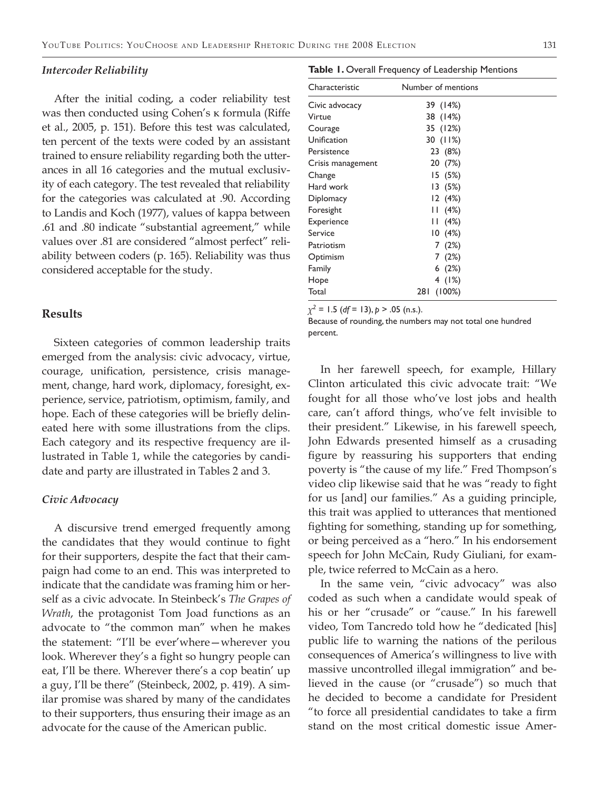#### *Intercoder Reliability*

After the initial coding, a coder reliability test was then conducted using Cohen's κ formula (Riffe et al., 2005, p. 151). Before this test was calculated, ten percent of the texts were coded by an assistant trained to ensure reliability regarding both the utterances in all 16 categories and the mutual exclusivity of each category. The test revealed that reliability for the categories was calculated at .90. According to Landis and Koch (1977), values of kappa between .61 and .80 indicate "substantial agreement," while values over .81 are considered "almost perfect" reliability between coders (p. 165). Reliability was thus considered acceptable for the study.

#### **Results**

Sixteen categories of common leadership traits emerged from the analysis: civic advocacy, virtue, courage, unification, persistence, crisis management, change, hard work, diplomacy, foresight, experience, service, patriotism, optimism, family, and hope. Each of these categories will be briefly delineated here with some illustrations from the clips. Each category and its respective frequency are illustrated in Table 1, while the categories by candidate and party are illustrated in Tables 2 and 3.

#### *Civic Advocacy*

A discursive trend emerged frequently among the candidates that they would continue to fight for their supporters, despite the fact that their campaign had come to an end. This was interpreted to indicate that the candidate was framing him or herself as a civic advocate. In Steinbeck's *The Grapes of Wrath*, the protagonist Tom Joad functions as an advocate to "the common man" when he makes the statement: "I'll be ever'where—wherever you look. Wherever they's a fight so hungry people can eat, I'll be there. Wherever there's a cop beatin' up a guy, I'll be there" (Steinbeck, 2002, p. 419). A similar promise was shared by many of the candidates to their supporters, thus ensuring their image as an advocate for the cause of the American public.

**Table 1.** Overall Frequency of Leadership Mentions

| Characteristic    | Number of mentions |  |
|-------------------|--------------------|--|
| Civic advocacy    | 39 (14%)           |  |
| Virtue            | 38 (14%)           |  |
| Courage           | 35 (12%)           |  |
| Unification       | 30 (11%)           |  |
| Persistence       | 23 (8%)            |  |
| Crisis management | 20 (7%)            |  |
| Change            | 15 (5%)            |  |
| Hard work         | 13 (5%)            |  |
| Diplomacy         | 12(4%)             |  |
| Foresight         | 11(4%)             |  |
| Experience        | 11(4%)             |  |
| Service           | 10(4%)             |  |
| Patriotism        | 7(2%)              |  |
| Optimism          | 7(2%)              |  |
| Family            | 6(2%)              |  |
| Hope              | 4 (1%)             |  |
| Total             | (100%)<br>281      |  |

*χ<sup>2</sup>* = 1.5 (*df* = 13), *p* > .05 (n.s.).

Because of rounding, the numbers may not total one hundred percent.

In her farewell speech, for example, Hillary Clinton articulated this civic advocate trait: "We fought for all those who've lost jobs and health care, can't afford things, who've felt invisible to their president." Likewise, in his farewell speech, John Edwards presented himself as a crusading figure by reassuring his supporters that ending poverty is "the cause of my life." Fred Thompson's video clip likewise said that he was "ready to fight for us [and] our families." As a guiding principle, this trait was applied to utterances that mentioned fighting for something, standing up for something, or being perceived as a "hero." In his endorsement speech for John McCain, Rudy Giuliani, for example, twice referred to McCain as a hero.

In the same vein, "civic advocacy" was also coded as such when a candidate would speak of his or her "crusade" or "cause." In his farewell video, Tom Tancredo told how he "dedicated [his] public life to warning the nations of the perilous consequences of America's willingness to live with massive uncontrolled illegal immigration" and believed in the cause (or "crusade") so much that he decided to become a candidate for President "to force all presidential candidates to take a firm stand on the most critical domestic issue Amer-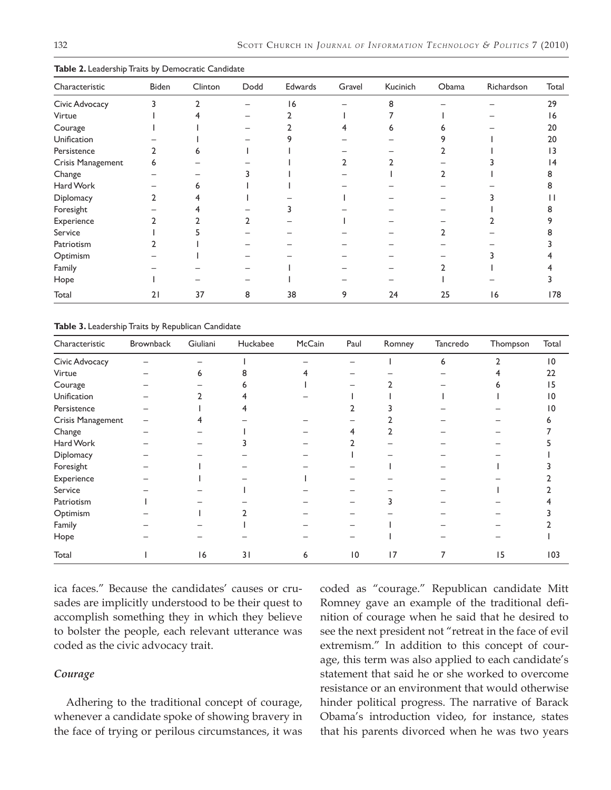| Characteristic    | <b>Biden</b> | Clinton | Dodd | Edwards | Gravel | Kucinich | Obama | Richardson | Total |
|-------------------|--------------|---------|------|---------|--------|----------|-------|------------|-------|
| Civic Advocacy    |              |         |      | 16      |        | 8        |       |            | 29    |
| Virtue            |              |         |      |         |        |          |       |            | 16    |
| Courage           |              |         |      |         |        | 6        |       |            | 20    |
| Unification       |              |         |      |         |        |          |       |            | 20    |
| Persistence       |              |         |      |         |        |          |       |            | 13    |
| Crisis Management | ь            |         |      |         |        |          |       |            | 14    |
| Change            |              |         |      |         |        |          |       |            |       |
| Hard Work         |              | n       |      |         |        |          |       |            |       |
| Diplomacy         |              |         |      |         |        |          |       |            |       |
| Foresight         |              |         |      |         |        |          |       |            |       |
| Experience        |              |         |      |         |        |          |       |            |       |
| Service           |              |         |      |         |        |          |       |            |       |
| Patriotism        |              |         |      |         |        |          |       |            |       |
| Optimism          |              |         |      |         |        |          |       |            |       |
| Family            |              |         |      |         |        |          |       |            |       |
| Hope              |              |         |      |         |        |          |       |            |       |
| Total             | 21           | 37      | 8    | 38      | 9      | 24       | 25    | 16         | 178   |

**Table 2.** Leadership Traits by Democratic Candidate

**Table 3.** Leadership Traits by Republican Candidate

| Characteristic    | <b>Brownback</b> | Giuliani | Huckabee | McCain | Paul            | Romney | Tancredo | Thompson       | Total           |
|-------------------|------------------|----------|----------|--------|-----------------|--------|----------|----------------|-----------------|
| Civic Advocacy    |                  |          |          |        |                 |        | 6        | $\mathfrak{p}$ | $\overline{10}$ |
| Virtue            |                  | 6        |          |        |                 |        |          |                | 22              |
| Courage           |                  |          |          |        |                 |        |          |                | 15              |
| Unification       |                  |          |          |        |                 |        |          |                | $\overline{0}$  |
| Persistence       |                  |          |          |        |                 |        |          |                | 10              |
| Crisis Management |                  |          |          |        |                 |        |          |                |                 |
| Change            |                  |          |          |        |                 |        |          |                |                 |
| Hard Work         |                  |          |          |        |                 |        |          |                |                 |
| Diplomacy         |                  |          |          |        |                 |        |          |                |                 |
| Foresight         |                  |          |          |        |                 |        |          |                |                 |
| Experience        |                  |          |          |        |                 |        |          |                |                 |
| Service           |                  |          |          |        |                 |        |          |                |                 |
| Patriotism        |                  |          |          |        |                 |        |          |                |                 |
| Optimism          |                  |          |          |        |                 |        |          |                |                 |
| Family            |                  |          |          |        |                 |        |          |                |                 |
| Hope              |                  |          |          |        |                 |        |          |                |                 |
| Total             |                  | 16       | 31       | 6      | $\overline{10}$ | 17     | 7        | 15             | 103             |

ica faces." Because the candidates' causes or crusades are implicitly understood to be their quest to accomplish something they in which they believe to bolster the people, each relevant utterance was coded as the civic advocacy trait.

# *Courage*

Adhering to the traditional concept of courage, whenever a candidate spoke of showing bravery in the face of trying or perilous circumstances, it was coded as "courage." Republican candidate Mitt Romney gave an example of the traditional definition of courage when he said that he desired to see the next president not "retreat in the face of evil extremism." In addition to this concept of courage, this term was also applied to each candidate's statement that said he or she worked to overcome resistance or an environment that would otherwise hinder political progress. The narrative of Barack Obama's introduction video, for instance, states that his parents divorced when he was two years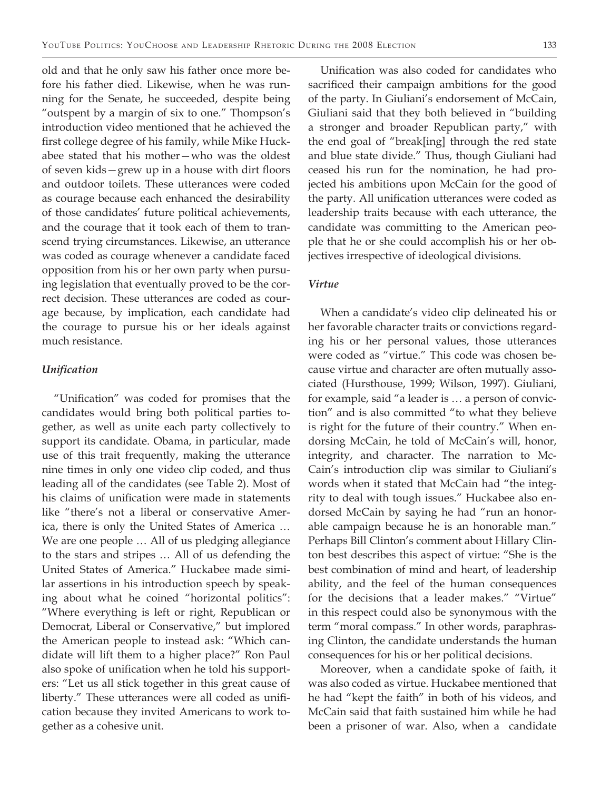old and that he only saw his father once more before his father died. Likewise, when he was running for the Senate, he succeeded, despite being "outspent by a margin of six to one." Thompson's introduction video mentioned that he achieved the first college degree of his family, while Mike Huckabee stated that his mother—who was the oldest of seven kids—grew up in a house with dirt floors and outdoor toilets. These utterances were coded as courage because each enhanced the desirability of those candidates' future political achievements, and the courage that it took each of them to transcend trying circumstances. Likewise, an utterance was coded as courage whenever a candidate faced opposition from his or her own party when pursuing legislation that eventually proved to be the correct decision. These utterances are coded as courage because, by implication, each candidate had the courage to pursue his or her ideals against much resistance.

#### *Unification*

"Unification" was coded for promises that the candidates would bring both political parties together, as well as unite each party collectively to support its candidate. Obama, in particular, made use of this trait frequently, making the utterance nine times in only one video clip coded, and thus leading all of the candidates (see Table 2). Most of his claims of unification were made in statements like "there's not a liberal or conservative America, there is only the United States of America … We are one people … All of us pledging allegiance to the stars and stripes … All of us defending the United States of America." Huckabee made similar assertions in his introduction speech by speaking about what he coined "horizontal politics": "Where everything is left or right, Republican or Democrat, Liberal or Conservative," but implored the American people to instead ask: "Which candidate will lift them to a higher place?" Ron Paul also spoke of unification when he told his supporters: "Let us all stick together in this great cause of liberty." These utterances were all coded as unification because they invited Americans to work together as a cohesive unit.

Unification was also coded for candidates who sacrificed their campaign ambitions for the good of the party. In Giuliani's endorsement of McCain, Giuliani said that they both believed in "building a stronger and broader Republican party," with the end goal of "break[ing] through the red state and blue state divide." Thus, though Giuliani had ceased his run for the nomination, he had projected his ambitions upon McCain for the good of the party. All unification utterances were coded as leadership traits because with each utterance, the candidate was committing to the American people that he or she could accomplish his or her objectives irrespective of ideological divisions.

# *Virtue*

When a candidate's video clip delineated his or her favorable character traits or convictions regarding his or her personal values, those utterances were coded as "virtue." This code was chosen because virtue and character are often mutually associated (Hursthouse, 1999; Wilson, 1997). Giuliani, for example, said "a leader is … a person of conviction" and is also committed "to what they believe is right for the future of their country." When endorsing McCain, he told of McCain's will, honor, integrity, and character. The narration to Mc-Cain's introduction clip was similar to Giuliani's words when it stated that McCain had "the integrity to deal with tough issues." Huckabee also endorsed McCain by saying he had "run an honorable campaign because he is an honorable man." Perhaps Bill Clinton's comment about Hillary Clinton best describes this aspect of virtue: "She is the best combination of mind and heart, of leadership ability, and the feel of the human consequences for the decisions that a leader makes." "Virtue" in this respect could also be synonymous with the term "moral compass." In other words, paraphrasing Clinton, the candidate understands the human consequences for his or her political decisions.

Moreover, when a candidate spoke of faith, it was also coded as virtue. Huckabee mentioned that he had "kept the faith" in both of his videos, and McCain said that faith sustained him while he had been a prisoner of war. Also, when a candidate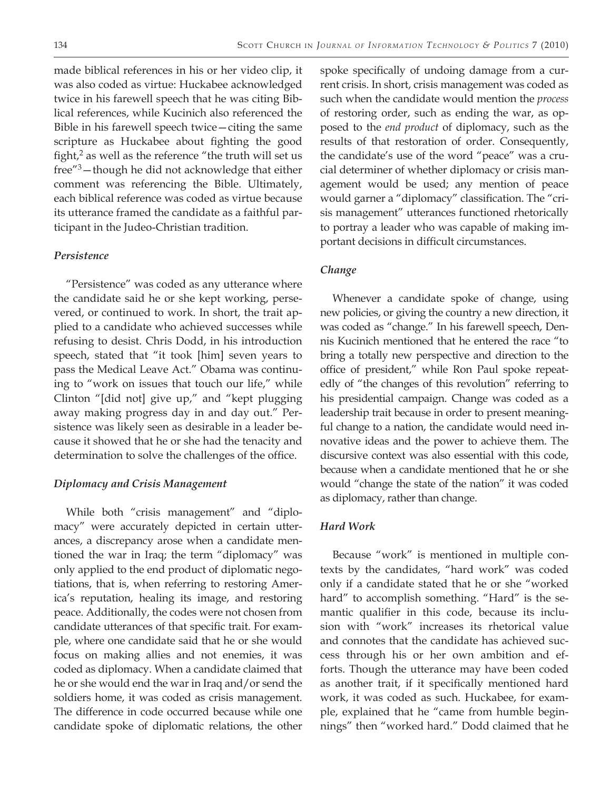made biblical references in his or her video clip, it was also coded as virtue: Huckabee acknowledged twice in his farewell speech that he was citing Biblical references, while Kucinich also referenced the Bible in his farewell speech twice—citing the same scripture as Huckabee about fighting the good fight, $2$  as well as the reference "the truth will set us free"3—though he did not acknowledge that either comment was referencing the Bible. Ultimately, each biblical reference was coded as virtue because its utterance framed the candidate as a faithful participant in the Judeo-Christian tradition.

# *Persistence*

"Persistence" was coded as any utterance where the candidate said he or she kept working, persevered, or continued to work. In short, the trait applied to a candidate who achieved successes while refusing to desist. Chris Dodd, in his introduction speech, stated that "it took [him] seven years to pass the Medical Leave Act." Obama was continuing to "work on issues that touch our life," while Clinton "[did not] give up," and "kept plugging away making progress day in and day out." Persistence was likely seen as desirable in a leader because it showed that he or she had the tenacity and determination to solve the challenges of the office.

#### *Diplomacy and Crisis Management*

While both "crisis management" and "diplomacy" were accurately depicted in certain utterances, a discrepancy arose when a candidate mentioned the war in Iraq; the term "diplomacy" was only applied to the end product of diplomatic negotiations, that is, when referring to restoring America's reputation, healing its image, and restoring peace. Additionally, the codes were not chosen from candidate utterances of that specific trait. For example, where one candidate said that he or she would focus on making allies and not enemies, it was coded as diplomacy. When a candidate claimed that he or she would end the war in Iraq and/or send the soldiers home, it was coded as crisis management. The difference in code occurred because while one candidate spoke of diplomatic relations, the other spoke specifically of undoing damage from a current crisis. In short, crisis management was coded as such when the candidate would mention the *process*  of restoring order, such as ending the war, as opposed to the *end product* of diplomacy, such as the results of that restoration of order. Consequently, the candidate's use of the word "peace" was a crucial determiner of whether diplomacy or crisis management would be used; any mention of peace would garner a "diplomacy" classification. The "crisis management" utterances functioned rhetorically to portray a leader who was capable of making important decisions in difficult circumstances.

# *Change*

Whenever a candidate spoke of change, using new policies, or giving the country a new direction, it was coded as "change." In his farewell speech, Dennis Kucinich mentioned that he entered the race "to bring a totally new perspective and direction to the office of president," while Ron Paul spoke repeatedly of "the changes of this revolution" referring to his presidential campaign. Change was coded as a leadership trait because in order to present meaningful change to a nation, the candidate would need innovative ideas and the power to achieve them. The discursive context was also essential with this code, because when a candidate mentioned that he or she would "change the state of the nation" it was coded as diplomacy, rather than change.

# *Hard Work*

Because "work" is mentioned in multiple contexts by the candidates, "hard work" was coded only if a candidate stated that he or she "worked hard" to accomplish something. "Hard" is the semantic qualifier in this code, because its inclusion with "work" increases its rhetorical value and connotes that the candidate has achieved success through his or her own ambition and efforts. Though the utterance may have been coded as another trait, if it specifically mentioned hard work, it was coded as such. Huckabee, for example, explained that he "came from humble beginnings" then "worked hard." Dodd claimed that he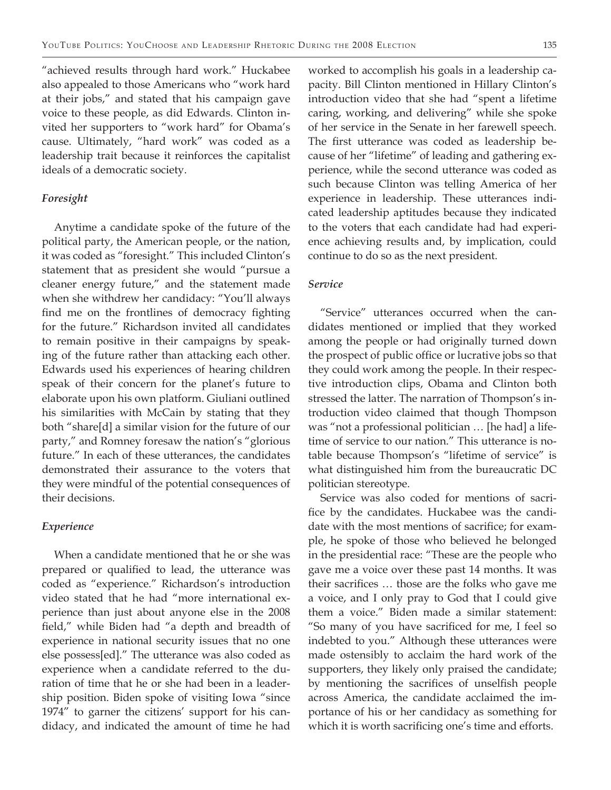"achieved results through hard work." Huckabee also appealed to those Americans who "work hard at their jobs," and stated that his campaign gave voice to these people, as did Edwards. Clinton invited her supporters to "work hard" for Obama's cause. Ultimately, "hard work" was coded as a leadership trait because it reinforces the capitalist ideals of a democratic society.

# *Foresight*

Anytime a candidate spoke of the future of the political party, the American people, or the nation, it was coded as "foresight." This included Clinton's statement that as president she would "pursue a cleaner energy future," and the statement made when she withdrew her candidacy: "You'll always find me on the frontlines of democracy fighting for the future." Richardson invited all candidates to remain positive in their campaigns by speaking of the future rather than attacking each other. Edwards used his experiences of hearing children speak of their concern for the planet's future to elaborate upon his own platform. Giuliani outlined his similarities with McCain by stating that they both "share[d] a similar vision for the future of our party," and Romney foresaw the nation's "glorious future." In each of these utterances, the candidates demonstrated their assurance to the voters that they were mindful of the potential consequences of their decisions.

# *Experience*

When a candidate mentioned that he or she was prepared or qualified to lead, the utterance was coded as "experience." Richardson's introduction video stated that he had "more international experience than just about anyone else in the 2008 field," while Biden had "a depth and breadth of experience in national security issues that no one else possess[ed]." The utterance was also coded as experience when a candidate referred to the duration of time that he or she had been in a leadership position. Biden spoke of visiting Iowa "since 1974" to garner the citizens' support for his candidacy, and indicated the amount of time he had

worked to accomplish his goals in a leadership capacity. Bill Clinton mentioned in Hillary Clinton's introduction video that she had "spent a lifetime caring, working, and delivering" while she spoke of her service in the Senate in her farewell speech. The first utterance was coded as leadership because of her "lifetime" of leading and gathering experience, while the second utterance was coded as such because Clinton was telling America of her experience in leadership. These utterances indicated leadership aptitudes because they indicated to the voters that each candidate had had experience achieving results and, by implication, could continue to do so as the next president.

# *Service*

"Service" utterances occurred when the candidates mentioned or implied that they worked among the people or had originally turned down the prospect of public office or lucrative jobs so that they could work among the people. In their respective introduction clips, Obama and Clinton both stressed the latter. The narration of Thompson's introduction video claimed that though Thompson was "not a professional politician … [he had] a lifetime of service to our nation." This utterance is notable because Thompson's "lifetime of service" is what distinguished him from the bureaucratic DC politician stereotype.

Service was also coded for mentions of sacrifice by the candidates. Huckabee was the candidate with the most mentions of sacrifice; for example, he spoke of those who believed he belonged in the presidential race: "These are the people who gave me a voice over these past 14 months. It was their sacrifices … those are the folks who gave me a voice, and I only pray to God that I could give them a voice." Biden made a similar statement: "So many of you have sacrificed for me, I feel so indebted to you." Although these utterances were made ostensibly to acclaim the hard work of the supporters, they likely only praised the candidate; by mentioning the sacrifices of unselfish people across America, the candidate acclaimed the importance of his or her candidacy as something for which it is worth sacrificing one's time and efforts.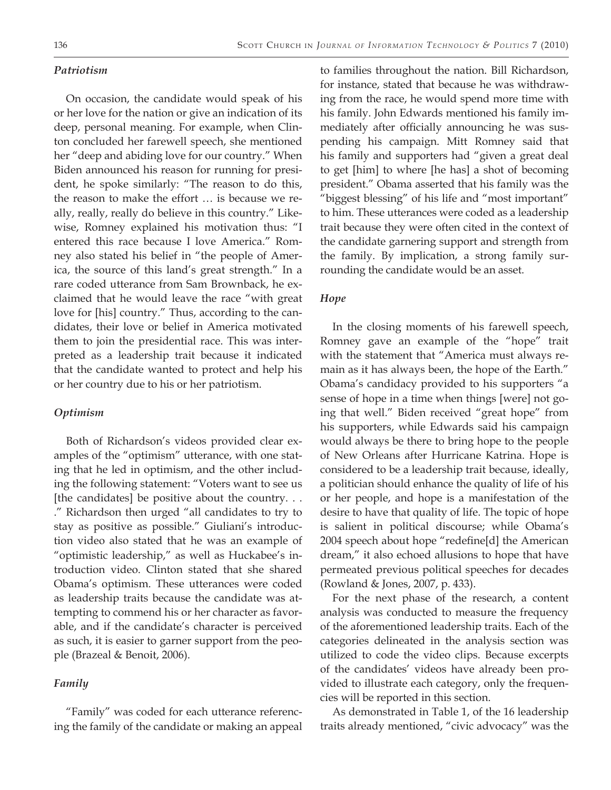# *Patriotism*

On occasion, the candidate would speak of his or her love for the nation or give an indication of its deep, personal meaning. For example, when Clinton concluded her farewell speech, she mentioned her "deep and abiding love for our country." When Biden announced his reason for running for president, he spoke similarly: "The reason to do this, the reason to make the effort … is because we really, really, really do believe in this country." Likewise, Romney explained his motivation thus: "I entered this race because I love America." Romney also stated his belief in "the people of America, the source of this land's great strength." In a rare coded utterance from Sam Brownback, he exclaimed that he would leave the race "with great love for [his] country." Thus, according to the candidates, their love or belief in America motivated them to join the presidential race. This was interpreted as a leadership trait because it indicated that the candidate wanted to protect and help his or her country due to his or her patriotism.

# *Optimism*

Both of Richardson's videos provided clear examples of the "optimism" utterance, with one stating that he led in optimism, and the other including the following statement: "Voters want to see us [the candidates] be positive about the country. . . ." Richardson then urged "all candidates to try to stay as positive as possible." Giuliani's introduction video also stated that he was an example of "optimistic leadership," as well as Huckabee's introduction video. Clinton stated that she shared Obama's optimism. These utterances were coded as leadership traits because the candidate was attempting to commend his or her character as favorable, and if the candidate's character is perceived as such, it is easier to garner support from the people (Brazeal & Benoit, 2006).

#### *Family*

"Family" was coded for each utterance referencing the family of the candidate or making an appeal

to families throughout the nation. Bill Richardson, for instance, stated that because he was withdrawing from the race, he would spend more time with his family. John Edwards mentioned his family immediately after officially announcing he was suspending his campaign. Mitt Romney said that his family and supporters had "given a great deal to get [him] to where [he has] a shot of becoming president." Obama asserted that his family was the "biggest blessing" of his life and "most important" to him. These utterances were coded as a leadership trait because they were often cited in the context of the candidate garnering support and strength from the family. By implication, a strong family surrounding the candidate would be an asset.

# *Hope*

In the closing moments of his farewell speech, Romney gave an example of the "hope" trait with the statement that "America must always remain as it has always been, the hope of the Earth." Obama's candidacy provided to his supporters "a sense of hope in a time when things [were] not going that well." Biden received "great hope" from his supporters, while Edwards said his campaign would always be there to bring hope to the people of New Orleans after Hurricane Katrina. Hope is considered to be a leadership trait because, ideally, a politician should enhance the quality of life of his or her people, and hope is a manifestation of the desire to have that quality of life. The topic of hope is salient in political discourse; while Obama's 2004 speech about hope "redefine[d] the American dream," it also echoed allusions to hope that have permeated previous political speeches for decades (Rowland & Jones, 2007, p. 433).

For the next phase of the research, a content analysis was conducted to measure the frequency of the aforementioned leadership traits. Each of the categories delineated in the analysis section was utilized to code the video clips. Because excerpts of the candidates' videos have already been provided to illustrate each category, only the frequencies will be reported in this section.

As demonstrated in Table 1, of the 16 leadership traits already mentioned, "civic advocacy" was the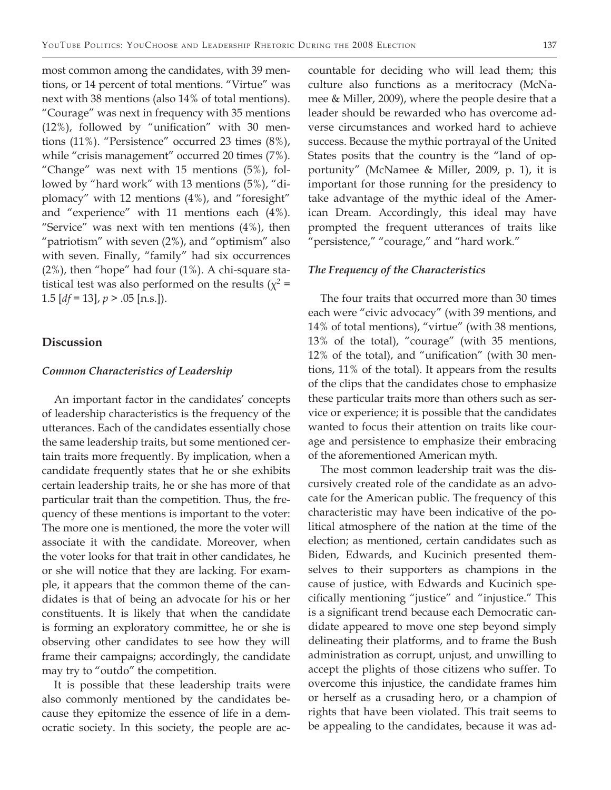most common among the candidates, with 39 mentions, or 14 percent of total mentions. "Virtue" was next with 38 mentions (also 14% of total mentions). "Courage" was next in frequency with 35 mentions (12%), followed by "unification" with 30 mentions (11%). "Persistence" occurred 23 times (8%), while "crisis management" occurred 20 times (7%). "Change" was next with 15 mentions (5%), followed by "hard work" with 13 mentions (5%), "diplomacy" with 12 mentions (4%), and "foresight" and "experience" with 11 mentions each (4%). "Service" was next with ten mentions  $(4\%)$ , then "patriotism" with seven (2%), and "optimism" also with seven. Finally, "family" had six occurrences (2%), then "hope" had four (1%). A chi-square statistical test was also performed on the results ( $\chi^2$  = 1.5 [*df* = 13], *p* > .05 [n.s.]).

# **Discussion**

#### *Common Characteristics of Leadership*

An important factor in the candidates' concepts of leadership characteristics is the frequency of the utterances. Each of the candidates essentially chose the same leadership traits, but some mentioned certain traits more frequently. By implication, when a candidate frequently states that he or she exhibits certain leadership traits, he or she has more of that particular trait than the competition. Thus, the frequency of these mentions is important to the voter: The more one is mentioned, the more the voter will associate it with the candidate. Moreover, when the voter looks for that trait in other candidates, he or she will notice that they are lacking. For example, it appears that the common theme of the candidates is that of being an advocate for his or her constituents. It is likely that when the candidate is forming an exploratory committee, he or she is observing other candidates to see how they will frame their campaigns; accordingly, the candidate may try to "outdo" the competition.

It is possible that these leadership traits were also commonly mentioned by the candidates because they epitomize the essence of life in a democratic society. In this society, the people are accountable for deciding who will lead them; this culture also functions as a meritocracy (McNamee & Miller, 2009), where the people desire that a leader should be rewarded who has overcome adverse circumstances and worked hard to achieve success. Because the mythic portrayal of the United States posits that the country is the "land of opportunity" (McNamee & Miller, 2009, p. 1), it is important for those running for the presidency to take advantage of the mythic ideal of the American Dream. Accordingly, this ideal may have prompted the frequent utterances of traits like "persistence," "courage," and "hard work."

# *The Frequency of the Characteristics*

The four traits that occurred more than 30 times each were "civic advocacy" (with 39 mentions, and 14% of total mentions), "virtue" (with 38 mentions, 13% of the total), "courage" (with 35 mentions, 12% of the total), and "unification" (with 30 mentions, 11% of the total). It appears from the results of the clips that the candidates chose to emphasize these particular traits more than others such as service or experience; it is possible that the candidates wanted to focus their attention on traits like courage and persistence to emphasize their embracing of the aforementioned American myth.

The most common leadership trait was the discursively created role of the candidate as an advocate for the American public. The frequency of this characteristic may have been indicative of the political atmosphere of the nation at the time of the election; as mentioned, certain candidates such as Biden, Edwards, and Kucinich presented themselves to their supporters as champions in the cause of justice, with Edwards and Kucinich specifically mentioning "justice" and "injustice." This is a significant trend because each Democratic candidate appeared to move one step beyond simply delineating their platforms, and to frame the Bush administration as corrupt, unjust, and unwilling to accept the plights of those citizens who suffer. To overcome this injustice, the candidate frames him or herself as a crusading hero, or a champion of rights that have been violated. This trait seems to be appealing to the candidates, because it was ad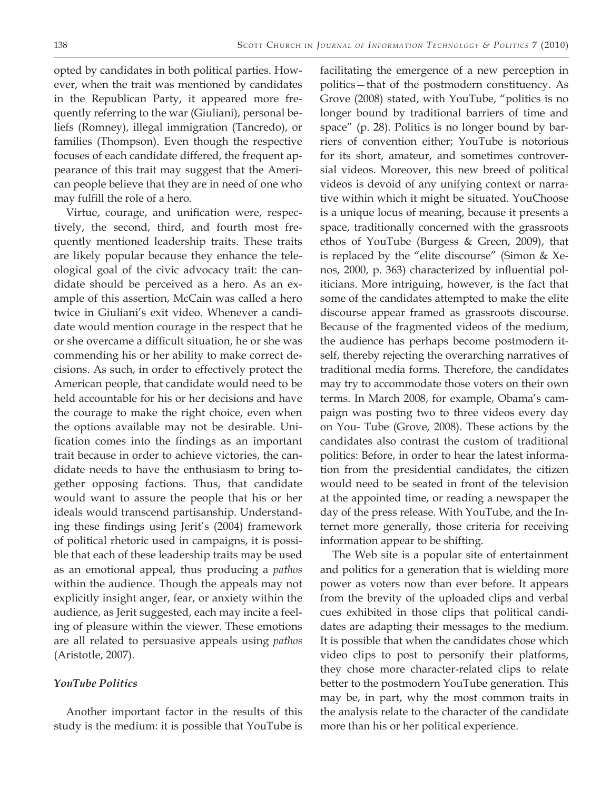opted by candidates in both political parties. However, when the trait was mentioned by candidates in the Republican Party, it appeared more frequently referring to the war (Giuliani), personal beliefs (Romney), illegal immigration (Tancredo), or families (Thompson). Even though the respective focuses of each candidate differed, the frequent appearance of this trait may suggest that the American people believe that they are in need of one who may fulfill the role of a hero.

Virtue, courage, and unification were, respectively, the second, third, and fourth most frequently mentioned leadership traits. These traits are likely popular because they enhance the teleological goal of the civic advocacy trait: the candidate should be perceived as a hero. As an example of this assertion, McCain was called a hero twice in Giuliani's exit video. Whenever a candidate would mention courage in the respect that he or she overcame a difficult situation, he or she was commending his or her ability to make correct decisions. As such, in order to effectively protect the American people, that candidate would need to be held accountable for his or her decisions and have the courage to make the right choice, even when the options available may not be desirable. Unification comes into the findings as an important trait because in order to achieve victories, the candidate needs to have the enthusiasm to bring together opposing factions. Thus, that candidate would want to assure the people that his or her ideals would transcend partisanship. Understanding these findings using Jerit's (2004) framework of political rhetoric used in campaigns, it is possible that each of these leadership traits may be used as an emotional appeal, thus producing a *pathos*  within the audience. Though the appeals may not explicitly insight anger, fear, or anxiety within the audience, as Jerit suggested, each may incite a feeling of pleasure within the viewer. These emotions are all related to persuasive appeals using *pathos*  (Aristotle, 2007).

#### *YouTube Politics*

Another important factor in the results of this study is the medium: it is possible that YouTube is

facilitating the emergence of a new perception in politics—that of the postmodern constituency. As Grove (2008) stated, with YouTube, "politics is no longer bound by traditional barriers of time and space" (p. 28). Politics is no longer bound by barriers of convention either; YouTube is notorious for its short, amateur, and sometimes controversial videos. Moreover, this new breed of political videos is devoid of any unifying context or narrative within which it might be situated. YouChoose is a unique locus of meaning, because it presents a space, traditionally concerned with the grassroots ethos of YouTube (Burgess & Green, 2009), that is replaced by the "elite discourse" (Simon & Xenos, 2000, p. 363) characterized by influential politicians. More intriguing, however, is the fact that some of the candidates attempted to make the elite discourse appear framed as grassroots discourse. Because of the fragmented videos of the medium, the audience has perhaps become postmodern itself, thereby rejecting the overarching narratives of traditional media forms. Therefore, the candidates may try to accommodate those voters on their own terms. In March 2008, for example, Obama's campaign was posting two to three videos every day on You- Tube (Grove, 2008). These actions by the candidates also contrast the custom of traditional politics: Before, in order to hear the latest information from the presidential candidates, the citizen would need to be seated in front of the television at the appointed time, or reading a newspaper the day of the press release. With YouTube, and the Internet more generally, those criteria for receiving information appear to be shifting.

The Web site is a popular site of entertainment and politics for a generation that is wielding more power as voters now than ever before. It appears from the brevity of the uploaded clips and verbal cues exhibited in those clips that political candidates are adapting their messages to the medium. It is possible that when the candidates chose which video clips to post to personify their platforms, they chose more character-related clips to relate better to the postmodern YouTube generation. This may be, in part, why the most common traits in the analysis relate to the character of the candidate more than his or her political experience.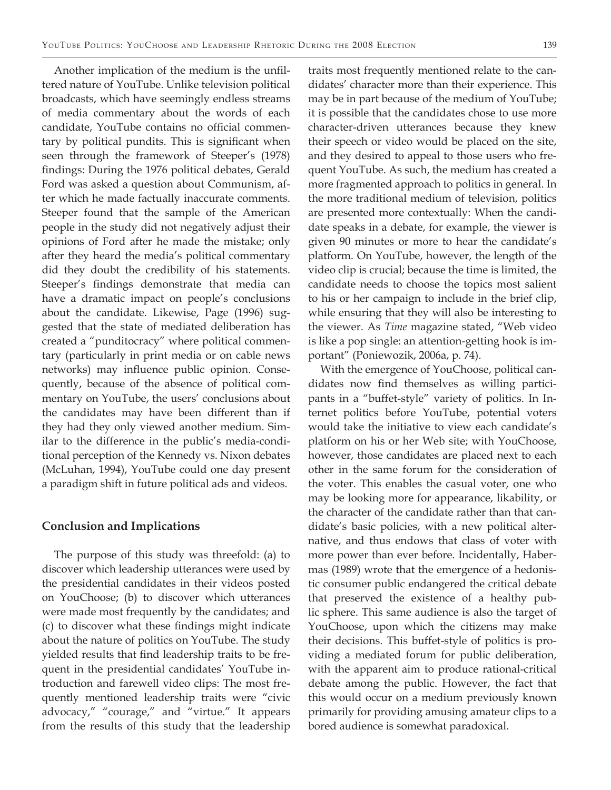Another implication of the medium is the unfiltered nature of YouTube. Unlike television political broadcasts, which have seemingly endless streams of media commentary about the words of each candidate, YouTube contains no official commentary by political pundits. This is significant when seen through the framework of Steeper's (1978) findings: During the 1976 political debates, Gerald Ford was asked a question about Communism, after which he made factually inaccurate comments. Steeper found that the sample of the American people in the study did not negatively adjust their opinions of Ford after he made the mistake; only after they heard the media's political commentary did they doubt the credibility of his statements. Steeper's findings demonstrate that media can have a dramatic impact on people's conclusions about the candidate. Likewise, Page (1996) suggested that the state of mediated deliberation has created a "punditocracy" where political commentary (particularly in print media or on cable news networks) may influence public opinion. Consequently, because of the absence of political commentary on YouTube, the users' conclusions about the candidates may have been different than if they had they only viewed another medium. Similar to the difference in the public's media-conditional perception of the Kennedy vs. Nixon debates (McLuhan, 1994), YouTube could one day present a paradigm shift in future political ads and videos.

# **Conclusion and Implications**

The purpose of this study was threefold: (a) to discover which leadership utterances were used by the presidential candidates in their videos posted on YouChoose; (b) to discover which utterances were made most frequently by the candidates; and (c) to discover what these findings might indicate about the nature of politics on YouTube. The study yielded results that find leadership traits to be frequent in the presidential candidates' YouTube introduction and farewell video clips: The most frequently mentioned leadership traits were "civic advocacy," "courage," and "virtue." It appears from the results of this study that the leadership

traits most frequently mentioned relate to the candidates' character more than their experience. This may be in part because of the medium of YouTube; it is possible that the candidates chose to use more character-driven utterances because they knew their speech or video would be placed on the site, and they desired to appeal to those users who frequent YouTube. As such, the medium has created a more fragmented approach to politics in general. In the more traditional medium of television, politics are presented more contextually: When the candidate speaks in a debate, for example, the viewer is given 90 minutes or more to hear the candidate's platform. On YouTube, however, the length of the video clip is crucial; because the time is limited, the candidate needs to choose the topics most salient to his or her campaign to include in the brief clip, while ensuring that they will also be interesting to the viewer. As *Time* magazine stated, "Web video is like a pop single: an attention-getting hook is important" (Poniewozik, 2006a, p. 74).

With the emergence of YouChoose, political candidates now find themselves as willing participants in a "buffet-style" variety of politics. In Internet politics before YouTube, potential voters would take the initiative to view each candidate's platform on his or her Web site; with YouChoose, however, those candidates are placed next to each other in the same forum for the consideration of the voter. This enables the casual voter, one who may be looking more for appearance, likability, or the character of the candidate rather than that candidate's basic policies, with a new political alternative, and thus endows that class of voter with more power than ever before. Incidentally, Habermas (1989) wrote that the emergence of a hedonistic consumer public endangered the critical debate that preserved the existence of a healthy public sphere. This same audience is also the target of YouChoose, upon which the citizens may make their decisions. This buffet-style of politics is providing a mediated forum for public deliberation, with the apparent aim to produce rational-critical debate among the public. However, the fact that this would occur on a medium previously known primarily for providing amusing amateur clips to a bored audience is somewhat paradoxical.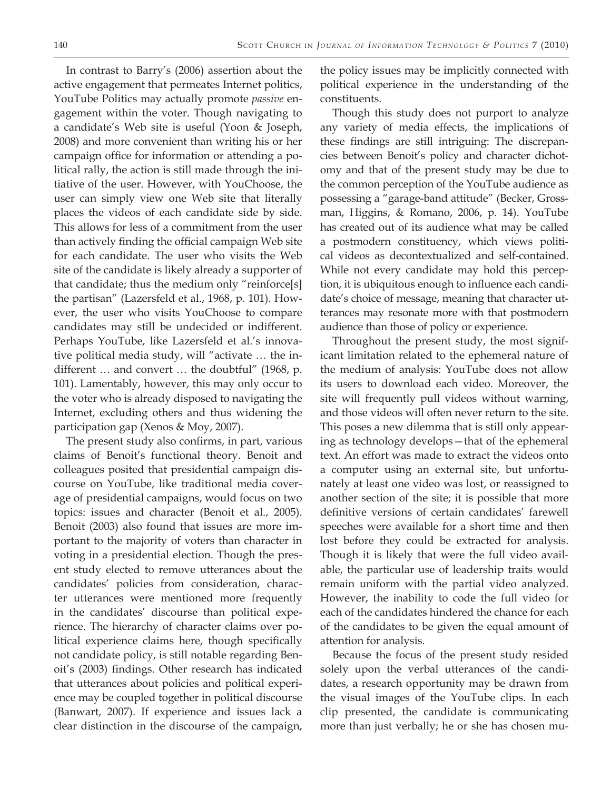In contrast to Barry's (2006) assertion about the active engagement that permeates Internet politics, YouTube Politics may actually promote *passive* engagement within the voter. Though navigating to a candidate's Web site is useful (Yoon & Joseph, 2008) and more convenient than writing his or her campaign office for information or attending a political rally, the action is still made through the initiative of the user. However, with YouChoose, the user can simply view one Web site that literally places the videos of each candidate side by side. This allows for less of a commitment from the user than actively finding the official campaign Web site for each candidate. The user who visits the Web site of the candidate is likely already a supporter of that candidate; thus the medium only "reinforce[s] the partisan" (Lazersfeld et al., 1968, p. 101). However, the user who visits YouChoose to compare candidates may still be undecided or indifferent. Perhaps YouTube, like Lazersfeld et al.'s innovative political media study, will "activate … the indifferent … and convert … the doubtful" (1968, p. 101). Lamentably, however, this may only occur to the voter who is already disposed to navigating the Internet, excluding others and thus widening the participation gap (Xenos & Moy, 2007).

The present study also confirms, in part, various claims of Benoit's functional theory. Benoit and colleagues posited that presidential campaign discourse on YouTube, like traditional media coverage of presidential campaigns, would focus on two topics: issues and character (Benoit et al., 2005). Benoit (2003) also found that issues are more important to the majority of voters than character in voting in a presidential election. Though the present study elected to remove utterances about the candidates' policies from consideration, character utterances were mentioned more frequently in the candidates' discourse than political experience. The hierarchy of character claims over political experience claims here, though specifically not candidate policy, is still notable regarding Benoit's (2003) findings. Other research has indicated that utterances about policies and political experience may be coupled together in political discourse (Banwart, 2007). If experience and issues lack a clear distinction in the discourse of the campaign,

the policy issues may be implicitly connected with political experience in the understanding of the constituents.

Though this study does not purport to analyze any variety of media effects, the implications of these findings are still intriguing: The discrepancies between Benoit's policy and character dichotomy and that of the present study may be due to the common perception of the YouTube audience as possessing a "garage-band attitude" (Becker, Grossman, Higgins, & Romano, 2006, p. 14). YouTube has created out of its audience what may be called a postmodern constituency, which views political videos as decontextualized and self-contained. While not every candidate may hold this perception, it is ubiquitous enough to influence each candidate's choice of message, meaning that character utterances may resonate more with that postmodern audience than those of policy or experience.

Throughout the present study, the most significant limitation related to the ephemeral nature of the medium of analysis: YouTube does not allow its users to download each video. Moreover, the site will frequently pull videos without warning, and those videos will often never return to the site. This poses a new dilemma that is still only appearing as technology develops—that of the ephemeral text. An effort was made to extract the videos onto a computer using an external site, but unfortunately at least one video was lost, or reassigned to another section of the site; it is possible that more definitive versions of certain candidates' farewell speeches were available for a short time and then lost before they could be extracted for analysis. Though it is likely that were the full video available, the particular use of leadership traits would remain uniform with the partial video analyzed. However, the inability to code the full video for each of the candidates hindered the chance for each of the candidates to be given the equal amount of attention for analysis.

Because the focus of the present study resided solely upon the verbal utterances of the candidates, a research opportunity may be drawn from the visual images of the YouTube clips. In each clip presented, the candidate is communicating more than just verbally; he or she has chosen mu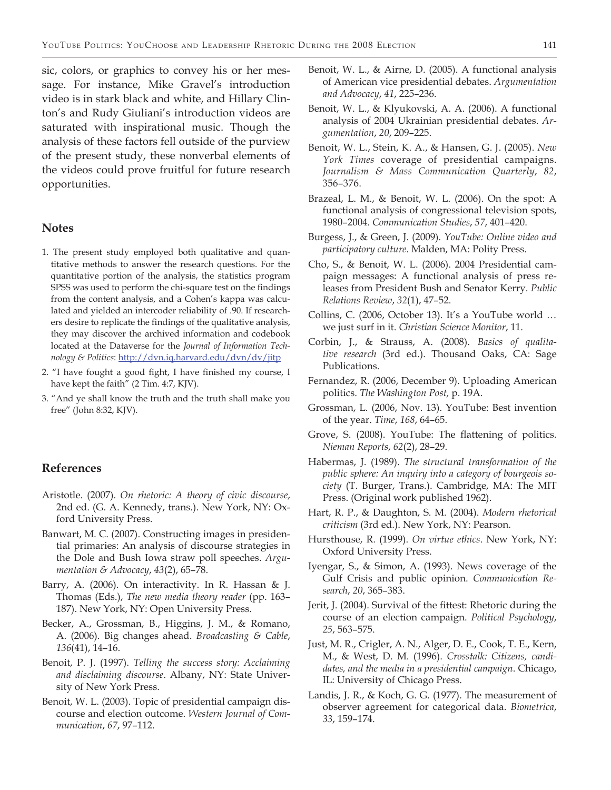sic, colors, or graphics to convey his or her message. For instance, Mike Gravel's introduction video is in stark black and white, and Hillary Clinton's and Rudy Giuliani's introduction videos are saturated with inspirational music. Though the analysis of these factors fell outside of the purview of the present study, these nonverbal elements of the videos could prove fruitful for future research opportunities.

#### **Notes**

- 1. The present study employed both qualitative and quantitative methods to answer the research questions. For the quantitative portion of the analysis, the statistics program SPSS was used to perform the chi-square test on the findings from the content analysis, and a Cohen's kappa was calculated and yielded an intercoder reliability of .90. If researchers desire to replicate the findings of the qualitative analysis, they may discover the archived information and codebook located at the Dataverse for the *Journal of Information Technology & Politics*: http://dvn.iq.harvard.edu/dvn/dv/jitp
- 2. "I have fought a good fight, I have finished my course, I have kept the faith" (2 Tim. 4:7, KJV).
- 3. "And ye shall know the truth and the truth shall make you free" (John 8:32, KJV).

# **References**

- Aristotle. (2007). *On rhetoric: A theory of civic discourse*, 2nd ed. (G. A. Kennedy, trans.). New York, NY: Oxford University Press.
- Banwart, M. C. (2007). Constructing images in presidential primaries: An analysis of discourse strategies in the Dole and Bush Iowa straw poll speeches. *Argumentation & Advocacy*, *43*(2), 65–78.
- Barry, A. (2006). On interactivity. In R. Hassan & J. Thomas (Eds.), *The new media theory reader* (pp. 163– 187). New York, NY: Open University Press.
- Becker, A., Grossman, B., Higgins, J. M., & Romano, A. (2006). Big changes ahead. *Broadcasting & Cable*, *136*(41), 14–16.
- Benoit, P. J. (1997). *Telling the success story: Acclaiming and disclaiming discourse*. Albany, NY: State University of New York Press.
- Benoit, W. L. (2003). Topic of presidential campaign discourse and election outcome. *Western Journal of Communication*, *67*, 97–112.
- Benoit, W. L., & Airne, D. (2005). A functional analysis of American vice presidential debates. *Argumentation and Advocacy*, *41*, 225–236.
- Benoit, W. L., & Klyukovski, A. A. (2006). A functional analysis of 2004 Ukrainian presidential debates. *Argumentation*, *20*, 209–225.
- Benoit, W. L., Stein, K. A., & Hansen, G. J. (2005). *New York Times* coverage of presidential campaigns. *Journalism & Mass Communication Quarterly*, *82*, 356–376.
- Brazeal, L. M., & Benoit, W. L. (2006). On the spot: A functional analysis of congressional television spots, 1980–2004. *Communication Studies*, *57*, 401–420.
- Burgess, J., & Green, J. (2009). *YouTube: Online video and participatory culture*. Malden, MA: Polity Press.
- Cho, S., & Benoit, W. L. (2006). 2004 Presidential campaign messages: A functional analysis of press releases from President Bush and Senator Kerry. *Public Relations Review*, *32*(1), 47–52.
- Collins, C. (2006, October 13). It's a YouTube world … we just surf in it. *Christian Science Monitor*, 11.
- Corbin, J., & Strauss, A. (2008). *Basics of qualitative research* (3rd ed.). Thousand Oaks, CA: Sage Publications.
- Fernandez, R. (2006, December 9). Uploading American politics. *The Washington Post,* p. 19A.
- Grossman, L. (2006, Nov. 13). YouTube: Best invention of the year. *Time*, *168*, 64–65.
- Grove, S. (2008). YouTube: The flattening of politics. *Nieman Reports*, *62*(2), 28–29.
- Habermas, J. (1989). *The structural transformation of the public sphere: An inquiry into a category of bourgeois society* (T. Burger, Trans.). Cambridge, MA: The MIT Press. (Original work published 1962).
- Hart, R. P., & Daughton, S. M. (2004). *Modern rhetorical criticism* (3rd ed.). New York, NY: Pearson.
- Hursthouse, R. (1999). *On virtue ethics*. New York, NY: Oxford University Press.
- Iyengar, S., & Simon, A. (1993). News coverage of the Gulf Crisis and public opinion. *Communication Research*, *20*, 365–383.
- Jerit, J. (2004). Survival of the fittest: Rhetoric during the course of an election campaign. *Political Psychology*, *25*, 563–575.
- Just, M. R., Crigler, A. N., Alger, D. E., Cook, T. E., Kern, M., & West, D. M. (1996). *Crosstalk: Citizens, candidates, and the media in a presidential campaign*. Chicago, IL: University of Chicago Press.
- Landis, J. R., & Koch, G. G. (1977). The measurement of observer agreement for categorical data. *Biometrica*, *33*, 159–174.